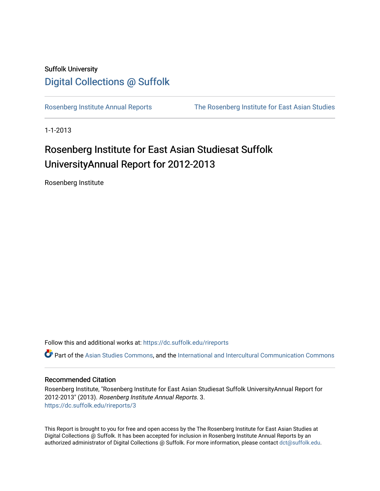## Suffolk University [Digital Collections @ Suffolk](https://dc.suffolk.edu/)

[Rosenberg Institute Annual Reports](https://dc.suffolk.edu/rireports) [The Rosenberg Institute for East Asian Studies](https://dc.suffolk.edu/rosenberg) 

1-1-2013

## Rosenberg Institute for East Asian Studiesat Suffolk UniversityAnnual Report for 2012-2013

Rosenberg Institute

Follow this and additional works at: [https://dc.suffolk.edu/rireports](https://dc.suffolk.edu/rireports?utm_source=dc.suffolk.edu%2Frireports%2F3&utm_medium=PDF&utm_campaign=PDFCoverPages) 

Part of the [Asian Studies Commons,](http://network.bepress.com/hgg/discipline/361?utm_source=dc.suffolk.edu%2Frireports%2F3&utm_medium=PDF&utm_campaign=PDFCoverPages) and the [International and Intercultural Communication Commons](http://network.bepress.com/hgg/discipline/331?utm_source=dc.suffolk.edu%2Frireports%2F3&utm_medium=PDF&utm_campaign=PDFCoverPages)

#### Recommended Citation

Rosenberg Institute, "Rosenberg Institute for East Asian Studiesat Suffolk UniversityAnnual Report for 2012-2013" (2013). Rosenberg Institute Annual Reports. 3. [https://dc.suffolk.edu/rireports/3](https://dc.suffolk.edu/rireports/3?utm_source=dc.suffolk.edu%2Frireports%2F3&utm_medium=PDF&utm_campaign=PDFCoverPages)

This Report is brought to you for free and open access by the The Rosenberg Institute for East Asian Studies at Digital Collections @ Suffolk. It has been accepted for inclusion in Rosenberg Institute Annual Reports by an authorized administrator of Digital Collections @ Suffolk. For more information, please contact [dct@suffolk.edu](mailto:dct@suffolk.edu).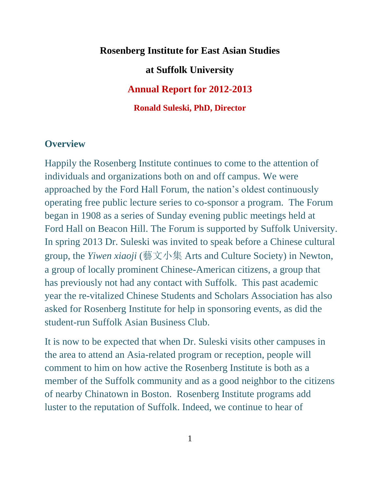# **Rosenberg Institute for East Asian Studies at Suffolk University Annual Report for 2012-2013 Ronald Suleski, PhD, Director**

## **Overview**

Happily the Rosenberg Institute continues to come to the attention of individuals and organizations both on and off campus. We were approached by the Ford Hall Forum, the nation's oldest continuously operating free public lecture series to co-sponsor a program. The Forum began in 1908 as a series of Sunday evening public meetings held at Ford Hall on Beacon Hill. The Forum is supported by Suffolk University. In spring 2013 Dr. Suleski was invited to speak before a Chinese cultural group, the *Yiwen xiaoji* (藝文小集 Arts and Culture Society) in Newton, a group of locally prominent Chinese-American citizens, a group that has previously not had any contact with Suffolk. This past academic year the re-vitalized Chinese Students and Scholars Association has also asked for Rosenberg Institute for help in sponsoring events, as did the student-run Suffolk Asian Business Club.

It is now to be expected that when Dr. Suleski visits other campuses in the area to attend an Asia-related program or reception, people will comment to him on how active the Rosenberg Institute is both as a member of the Suffolk community and as a good neighbor to the citizens of nearby Chinatown in Boston. Rosenberg Institute programs add luster to the reputation of Suffolk. Indeed, we continue to hear of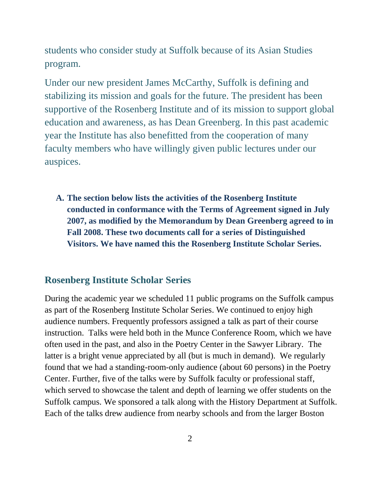students who consider study at Suffolk because of its Asian Studies program.

Under our new president James McCarthy, Suffolk is defining and stabilizing its mission and goals for the future. The president has been supportive of the Rosenberg Institute and of its mission to support global education and awareness, as has Dean Greenberg. In this past academic year the Institute has also benefitted from the cooperation of many faculty members who have willingly given public lectures under our auspices.

**A. The section below lists the activities of the Rosenberg Institute conducted in conformance with the Terms of Agreement signed in July 2007, as modified by the Memorandum by Dean Greenberg agreed to in Fall 2008. These two documents call for a series of Distinguished Visitors. We have named this the Rosenberg Institute Scholar Series.**

## **Rosenberg Institute Scholar Series**

During the academic year we scheduled 11 public programs on the Suffolk campus as part of the Rosenberg Institute Scholar Series. We continued to enjoy high audience numbers. Frequently professors assigned a talk as part of their course instruction. Talks were held both in the Munce Conference Room, which we have often used in the past, and also in the Poetry Center in the Sawyer Library. The latter is a bright venue appreciated by all (but is much in demand). We regularly found that we had a standing-room-only audience (about 60 persons) in the Poetry Center. Further, five of the talks were by Suffolk faculty or professional staff, which served to showcase the talent and depth of learning we offer students on the Suffolk campus. We sponsored a talk along with the History Department at Suffolk. Each of the talks drew audience from nearby schools and from the larger Boston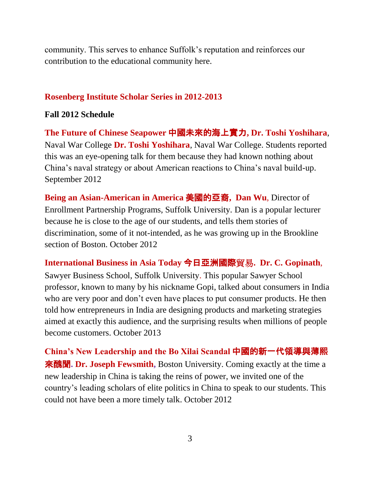community. This serves to enhance Suffolk's reputation and reinforces our contribution to the educational community here.

#### **Rosenberg Institute Scholar Series in 2012-2013**

#### **Fall 2012 Schedule**

**The Future of Chinese Seapower** 中國未來的海上實力**, Dr. Toshi Yoshihara**, Naval War College **Dr. Toshi Yoshihara**, Naval War College. Students reported this was an eye-opening talk for them because they had known nothing about China's naval strategy or about American reactions to China's naval build-up. September 2012

**Being an Asian-American in America** 美國的亞裔**, Dan Wu**, Director of Enrollment Partnership Programs, Suffolk University. Dan is a popular lecturer because he is close to the age of our students, and tells them stories of discrimination, some of it not-intended, as he was growing up in the Brookline section of Boston. October 2012

**International Business in Asia Today** 今日亞洲國際貿易**. Dr. C. Gopinath**,

Sawyer Business School, Suffolk University. This popular Sawyer School professor, known to many by his nickname Gopi, talked about consumers in India who are very poor and don't even have places to put consumer products. He then told how entrepreneurs in India are designing products and marketing strategies aimed at exactly this audience, and the surprising results when millions of people become customers. October 2013

**China's New Leadership and the Bo Xilai Scandal** 中國的新一代領導與薄熙 來醜聞**. Dr. Joseph Fewsmith,** Boston University. Coming exactly at the time a new leadership in China is taking the reins of power, we invited one of the country's leading scholars of elite politics in China to speak to our students. This could not have been a more timely talk. October 2012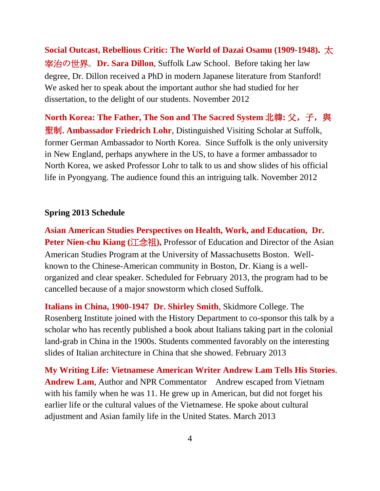**Social Outcast, Rebellious Critic: The World of Dazai Osamu (1909-1948).** 太 宰治の世界。**Dr. Sara Dillon**, Suffolk Law School. Before taking her law degree, Dr. Dillon received a PhD in modern Japanese literature from Stanford! We asked her to speak about the important author she had studied for her dissertation, to the delight of our students. November 2012

**North Korea: The Father, The Son and The Sacred System** 北韓**:** 父,子,與 聖制**. Ambassador Friedrich Lohr**, Distinguished Visiting Scholar at Suffolk, former German Ambassador to North Korea. Since Suffolk is the only university in New England, perhaps anywhere in the US, to have a former ambassador to North Korea, we asked Professor Lohr to talk to us and show slides of his official life in Pyongyang. The audience found this an intriguing talk. November 2012

#### **Spring 2013 Schedule**

**Asian American Studies Perspectives on Health, Work, and Education, Dr. Peter Nien-chu Kiang (江念祖),** Professor of Education and Director of the Asian American Studies Program at the University of Massachusetts Boston. Wellknown to the Chinese-American community in Boston, Dr. Kiang is a wellorganized and clear speaker. Scheduled for February 2013, the program had to be cancelled because of a major snowstorm which closed Suffolk.

**Italians in China, 1900-1947 Dr. Shirley Smith**, Skidmore College. The Rosenberg Institute joined with the History Department to co-sponsor this talk by a scholar who has recently published a book about Italians taking part in the colonial land-grab in China in the 1900s. Students commented favorably on the interesting slides of Italian architecture in China that she showed. February 2013

**My Writing Life: Vietnamese American Writer Andrew Lam Tells His Stories**. **Andrew Lam**, Author and NPR Commentator Andrew escaped from Vietnam with his family when he was 11. He grew up in American, but did not forget his earlier life or the cultural values of the Vietnamese. He spoke about cultural adjustment and Asian family life in the United States. March 2013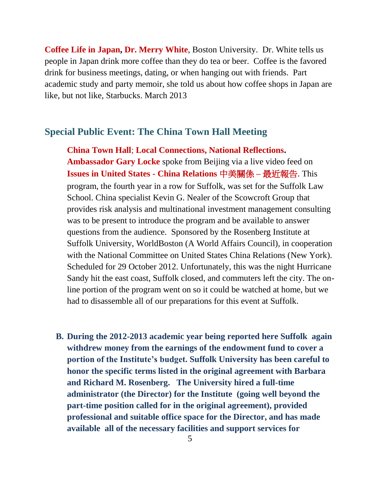**Coffee Life in Japan, Dr. Merry White**, Boston University. Dr. White tells us people in Japan drink more coffee than they do tea or beer. Coffee is the favored drink for business meetings, dating, or when hanging out with friends. Part academic study and party memoir, she told us about how coffee shops in Japan are like, but not like, Starbucks. March 2013

## **Special Public Event: The China Town Hall Meeting**

**China Town Hall**; **Local Connections, National Reflections. Ambassador Gary Locke** spoke from Beijing via a live video feed on **Issues in United States - China Relations** 中美關係 **–** 最近報告. This program, the fourth year in a row for Suffolk, was set for the Suffolk Law School. China specialist Kevin G. Nealer of the Scowcroft Group that provides risk analysis and multinational investment management consulting was to be present to introduce the program and be available to answer questions from the audience. Sponsored by the Rosenberg Institute at Suffolk University, WorldBoston (A World Affairs Council), in cooperation with the National Committee on United States China Relations (New York). Scheduled for 29 October 2012. Unfortunately, this was the night Hurricane Sandy hit the east coast, Suffolk closed, and commuters left the city. The online portion of the program went on so it could be watched at home, but we had to disassemble all of our preparations for this event at Suffolk.

**B. During the 2012-2013 academic year being reported here Suffolk again withdrew money from the earnings of the endowment fund to cover a portion of the Institute's budget. Suffolk University has been careful to honor the specific terms listed in the original agreement with Barbara and Richard M. Rosenberg. The University hired a full-time administrator (the Director) for the Institute (going well beyond the part-time position called for in the original agreement), provided professional and suitable office space for the Director, and has made available all of the necessary facilities and support services for**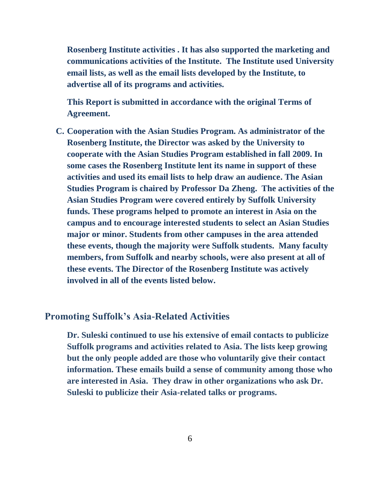**Rosenberg Institute activities . It has also supported the marketing and communications activities of the Institute. The Institute used University email lists, as well as the email lists developed by the Institute, to advertise all of its programs and activities.**

**This Report is submitted in accordance with the original Terms of Agreement.**

**C. Cooperation with the Asian Studies Program. As administrator of the Rosenberg Institute, the Director was asked by the University to cooperate with the Asian Studies Program established in fall 2009. In some cases the Rosenberg Institute lent its name in support of these activities and used its email lists to help draw an audience. The Asian Studies Program is chaired by Professor Da Zheng. The activities of the Asian Studies Program were covered entirely by Suffolk University funds. These programs helped to promote an interest in Asia on the campus and to encourage interested students to select an Asian Studies major or minor. Students from other campuses in the area attended these events, though the majority were Suffolk students. Many faculty members, from Suffolk and nearby schools, were also present at all of these events. The Director of the Rosenberg Institute was actively involved in all of the events listed below.**

## **Promoting Suffolk's Asia-Related Activities**

**Dr. Suleski continued to use his extensive of email contacts to publicize Suffolk programs and activities related to Asia. The lists keep growing but the only people added are those who voluntarily give their contact information. These emails build a sense of community among those who are interested in Asia. They draw in other organizations who ask Dr. Suleski to publicize their Asia-related talks or programs.**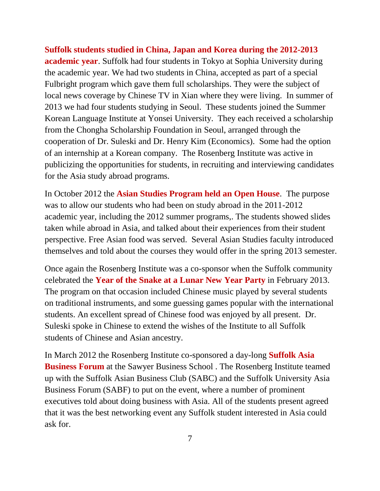**Suffolk students studied in China, Japan and Korea during the 2012-2013 academic year**. Suffolk had four students in Tokyo at Sophia University during the academic year. We had two students in China, accepted as part of a special Fulbright program which gave them full scholarships. They were the subject of local news coverage by Chinese TV in Xian where they were living. In summer of 2013 we had four students studying in Seoul. These students joined the Summer Korean Language Institute at Yonsei University. They each received a scholarship from the Chongha Scholarship Foundation in Seoul, arranged through the cooperation of Dr. Suleski and Dr. Henry Kim (Economics). Some had the option of an internship at a Korean company. The Rosenberg Institute was active in publicizing the opportunities for students, in recruiting and interviewing candidates for the Asia study abroad programs.

In October 2012 the **Asian Studies Program held an Open House**. The purpose was to allow our students who had been on study abroad in the 2011-2012 academic year, including the 2012 summer programs,. The students showed slides taken while abroad in Asia, and talked about their experiences from their student perspective. Free Asian food was served. Several Asian Studies faculty introduced themselves and told about the courses they would offer in the spring 2013 semester.

Once again the Rosenberg Institute was a co-sponsor when the Suffolk community celebrated the **Year of the Snake at a Lunar New Year Party** in February 2013. The program on that occasion included Chinese music played by several students on traditional instruments, and some guessing games popular with the international students. An excellent spread of Chinese food was enjoyed by all present. Dr. Suleski spoke in Chinese to extend the wishes of the Institute to all Suffolk students of Chinese and Asian ancestry.

In March 2012 the Rosenberg Institute co-sponsored a day-long **Suffolk Asia Business Forum** at the Sawyer Business School . The Rosenberg Institute teamed up with the Suffolk Asian Business Club (SABC) and the Suffolk University Asia Business Forum (SABF) to put on the event, where a number of prominent executives told about doing business with Asia. All of the students present agreed that it was the best networking event any Suffolk student interested in Asia could ask for.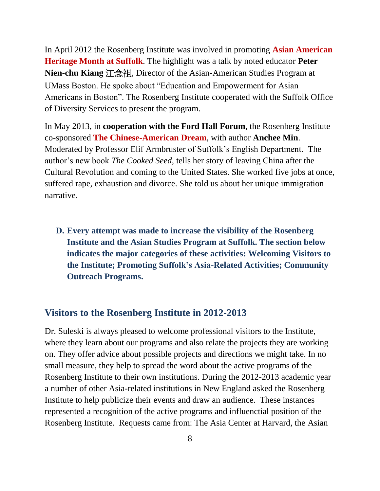In April 2012 the Rosenberg Institute was involved in promoting **Asian American Heritage Month at Suffolk**. The highlight was a talk by noted educator **Peter Nien-chu Kiang** 江念祖, Director of the Asian-American Studies Program at UMass Boston. He spoke about "Education and Empowerment for Asian Americans in Boston". The Rosenberg Institute cooperated with the Suffolk Office of Diversity Services to present the program.

In May 2013, in **cooperation with the Ford Hall Forum**, the Rosenberg Institute co-sponsored **The Chinese-American Dream**, with author **Anchee Min**. Moderated by Professor Elif Armbruster of Suffolk's English Department. The author's new book *The Cooked Seed,* tells her story of leaving China after the Cultural Revolution and coming to the United States. She worked five jobs at once, suffered rape, exhaustion and divorce. She told us about her unique immigration narrative.

**D. Every attempt was made to increase the visibility of the Rosenberg Institute and the Asian Studies Program at Suffolk. The section below indicates the major categories of these activities: Welcoming Visitors to the Institute; Promoting Suffolk's Asia-Related Activities; Community Outreach Programs.**

### **Visitors to the Rosenberg Institute in 2012-2013**

Dr. Suleski is always pleased to welcome professional visitors to the Institute, where they learn about our programs and also relate the projects they are working on. They offer advice about possible projects and directions we might take. In no small measure, they help to spread the word about the active programs of the Rosenberg Institute to their own institutions. During the 2012-2013 academic year a number of other Asia-related institutions in New England asked the Rosenberg Institute to help publicize their events and draw an audience. These instances represented a recognition of the active programs and influenctial position of the Rosenberg Institute. Requests came from: The Asia Center at Harvard, the Asian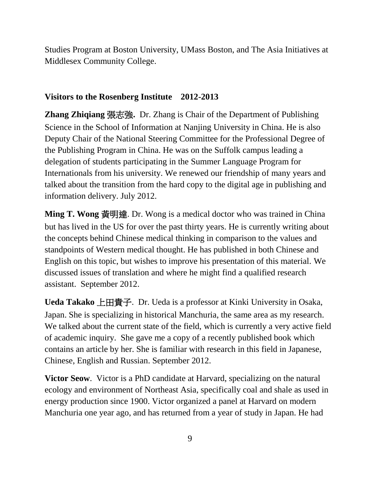Studies Program at Boston University, UMass Boston, and The Asia Initiatives at Middlesex Community College.

## **Visitors to the Rosenberg Institute 2012-2013**

**Zhang Zhiqiang** 張志強**.** Dr. Zhang is Chair of the Department of Publishing Science in the School of Information at Nanjing University in China. He is also Deputy Chair of the National Steering Committee for the Professional Degree of the Publishing Program in China. He was on the Suffolk campus leading a delegation of students participating in the Summer Language Program for Internationals from his university. We renewed our friendship of many years and talked about the transition from the hard copy to the digital age in publishing and information delivery. July 2012.

**Ming T. Wong** 黃明達. Dr. Wong is a medical doctor who was trained in China but has lived in the US for over the past thirty years. He is currently writing about the concepts behind Chinese medical thinking in comparison to the values and standpoints of Western medical thought. He has published in both Chinese and English on this topic, but wishes to improve his presentation of this material. We discussed issues of translation and where he might find a qualified research assistant. September 2012.

**Ueda Takako** 上田貴子. Dr. Ueda is a professor at Kinki University in Osaka, Japan. She is specializing in historical Manchuria, the same area as my research. We talked about the current state of the field, which is currently a very active field of academic inquiry. She gave me a copy of a recently published book which contains an article by her. She is familiar with research in this field in Japanese, Chinese, English and Russian. September 2012.

**Victor Seow.** Victor is a PhD candidate at Harvard, specializing on the natural ecology and environment of Northeast Asia, specifically coal and shale as used in energy production since 1900. Victor organized a panel at Harvard on modern Manchuria one year ago, and has returned from a year of study in Japan. He had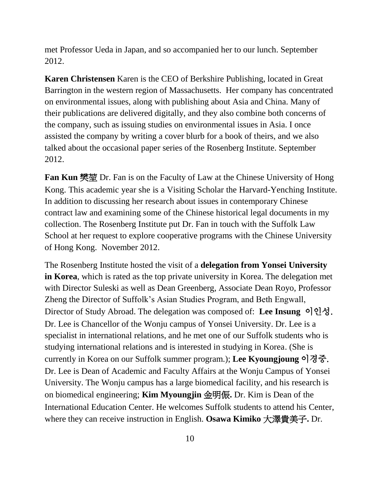met Professor Ueda in Japan, and so accompanied her to our lunch. September 2012.

**Karen Christensen** Karen is the CEO of Berkshire Publishing, located in Great Barrington in the western region of Massachusetts. Her company has concentrated on environmental issues, along with publishing about Asia and China. Many of their publications are delivered digitally, and they also combine both concerns of the company, such as issuing studies on environmental issues in Asia. I once assisted the company by writing a cover blurb for a book of theirs, and we also talked about the occasional paper series of the Rosenberg Institute. September 2012.

**Fan Kun** 樊堃 Dr. Fan is on the Faculty of Law at the Chinese University of Hong Kong. This academic year she is a Visiting Scholar the Harvard-Yenching Institute. In addition to discussing her research about issues in contemporary Chinese contract law and examining some of the Chinese historical legal documents in my collection. The Rosenberg Institute put Dr. Fan in touch with the Suffolk Law School at her request to explore cooperative programs with the Chinese University of Hong Kong. November 2012.

The Rosenberg Institute hosted the visit of a **delegation from Yonsei University in Korea**, which is rated as the top private university in Korea. The delegation met with Director Suleski as well as Dean Greenberg, Associate Dean Royo, Professor Zheng the Director of Suffolk's Asian Studies Program, and Beth Engwall, Director of Study Abroad. The delegation was composed of: **Lee Insung** 이인성. Dr. Lee is Chancellor of the Wonju campus of Yonsei University. Dr. Lee is a specialist in international relations, and he met one of our Suffolk students who is studying international relations and is interested in studying in Korea. (She is currently in Korea on our Suffolk summer program.); **Lee Kyoungjoung** 이경중. Dr. Lee is Dean of Academic and Faculty Affairs at the Wonju Campus of Yonsei University. The Wonju campus has a large biomedical facility, and his research is on biomedical engineering; **Kim Myoungjin** 金明侲**.** Dr. Kim is Dean of the International Education Center. He welcomes Suffolk students to attend his Center, where they can receive instruction in English. **Osawa Kimiko** 大澤貴美子**.** Dr.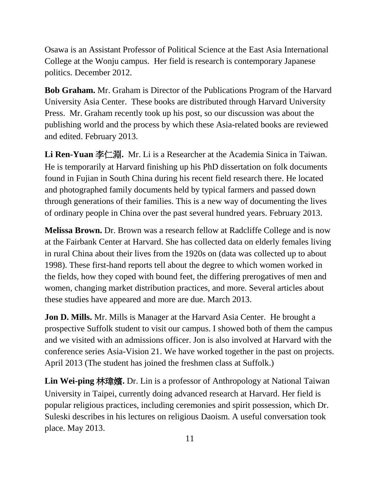Osawa is an Assistant Professor of Political Science at the East Asia International College at the Wonju campus. Her field is research is contemporary Japanese politics. December 2012.

**Bob Graham.** Mr. Graham is Director of the Publications Program of the Harvard University Asia Center. These books are distributed through Harvard University Press. Mr. Graham recently took up his post, so our discussion was about the publishing world and the process by which these Asia-related books are reviewed and edited. February 2013.

**Li Ren-Yuan** 李仁淵**.** Mr. Li is a Researcher at the Academia Sinica in Taiwan. He is temporarily at Harvard finishing up his PhD dissertation on folk documents found in Fujian in South China during his recent field research there. He located and photographed family documents held by typical farmers and passed down through generations of their families. This is a new way of documenting the lives of ordinary people in China over the past several hundred years. February 2013.

**Melissa Brown.** Dr. Brown was a research fellow at Radcliffe College and is now at the Fairbank Center at Harvard. She has collected data on elderly females living in rural China about their lives from the 1920s on (data was collected up to about 1998). These first-hand reports tell about the degree to which women worked in the fields, how they coped with bound feet, the differing prerogatives of men and women, changing market distribution practices, and more. Several articles about these studies have appeared and more are due. March 2013.

**Jon D. Mills.** Mr. Mills is Manager at the Harvard Asia Center. He brought a prospective Suffolk student to visit our campus. I showed both of them the campus and we visited with an admissions officer. Jon is also involved at Harvard with the conference series Asia-Vision 21. We have worked together in the past on projects. April 2013 (The student has joined the freshmen class at Suffolk.)

**Lin Wei-ping** 林瑋嬪**.** Dr. Lin is a professor of Anthropology at National Taiwan University in Taipei, currently doing advanced research at Harvard. Her field is popular religious practices, including ceremonies and spirit possession, which Dr. Suleski describes in his lectures on religious Daoism. A useful conversation took place. May 2013.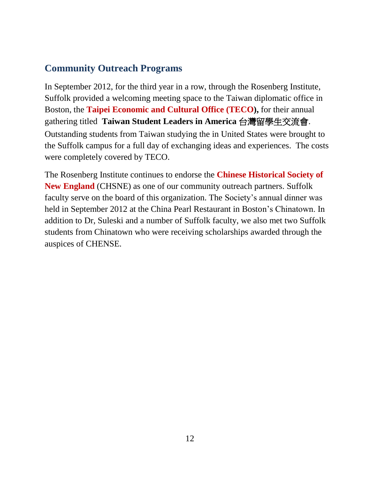## **Community Outreach Programs**

In September 2012, for the third year in a row, through the Rosenberg Institute, Suffolk provided a welcoming meeting space to the Taiwan diplomatic office in Boston, the **Taipei Economic and Cultural Office (TECO),** for their annual gathering titled **Taiwan Student Leaders in America** 台灣留學生交流會. Outstanding students from Taiwan studying the in United States were brought to the Suffolk campus for a full day of exchanging ideas and experiences. The costs were completely covered by TECO.

The Rosenberg Institute continues to endorse the **Chinese Historical Society of New England** (CHSNE) as one of our community outreach partners. Suffolk faculty serve on the board of this organization. The Society's annual dinner was held in September 2012 at the China Pearl Restaurant in Boston's Chinatown. In addition to Dr, Suleski and a number of Suffolk faculty, we also met two Suffolk students from Chinatown who were receiving scholarships awarded through the auspices of CHENSE.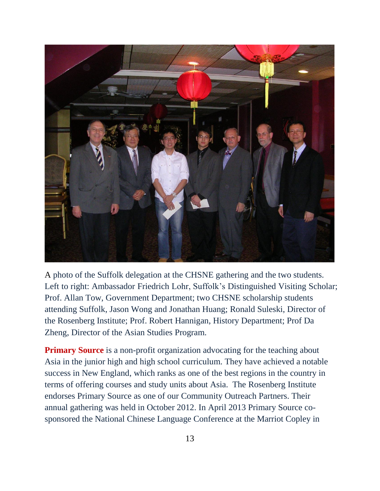

A photo of the Suffolk delegation at the CHSNE gathering and the two students. Left to right: Ambassador Friedrich Lohr, Suffolk's Distinguished Visiting Scholar; Prof. Allan Tow, Government Department; two CHSNE scholarship students attending Suffolk, Jason Wong and Jonathan Huang; Ronald Suleski, Director of the Rosenberg Institute; Prof. Robert Hannigan, History Department; Prof Da Zheng, Director of the Asian Studies Program.

**Primary Source** is a non-profit organization advocating for the teaching about Asia in the junior high and high school curriculum. They have achieved a notable success in New England, which ranks as one of the best regions in the country in terms of offering courses and study units about Asia. The Rosenberg Institute endorses Primary Source as one of our Community Outreach Partners. Their annual gathering was held in October 2012. In April 2013 Primary Source cosponsored the National Chinese Language Conference at the Marriot Copley in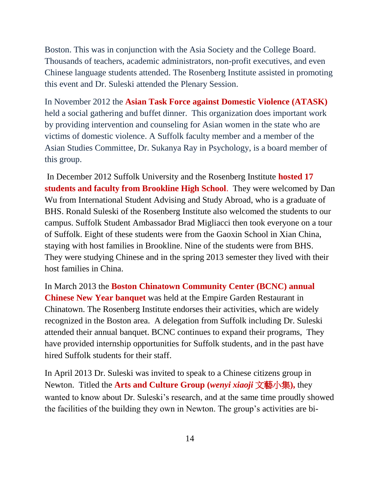Boston. This was in conjunction with the Asia Society and the College Board. Thousands of teachers, academic administrators, non-profit executives, and even Chinese language students attended. The Rosenberg Institute assisted in promoting this event and Dr. Suleski attended the Plenary Session.

In November 2012 the **Asian Task Force against Domestic Violence (ATASK)** held a social gathering and buffet dinner. This organization does important work by providing intervention and counseling for Asian women in the state who are victims of domestic violence. A Suffolk faculty member and a member of the Asian Studies Committee, Dr. Sukanya Ray in Psychology, is a board member of this group.

In December 2012 Suffolk University and the Rosenberg Institute **hosted 17 students and faculty from Brookline High School**. They were welcomed by Dan Wu from International Student Advising and Study Abroad, who is a graduate of BHS. Ronald Suleski of the Rosenberg Institute also welcomed the students to our campus. Suffolk Student Ambassador Brad Migliacci then took everyone on a tour of Suffolk. Eight of these students were from the Gaoxin School in Xian China, staying with host families in Brookline. Nine of the students were from BHS. They were studying Chinese and in the spring 2013 semester they lived with their host families in China.

In March 2013 the **Boston Chinatown Community Center (BCNC) annual Chinese New Year banquet** was held at the Empire Garden Restaurant in Chinatown. The Rosenberg Institute endorses their activities, which are widely recognized in the Boston area. A delegation from Suffolk including Dr. Suleski attended their annual banquet. BCNC continues to expand their programs, They have provided internship opportunities for Suffolk students, and in the past have hired Suffolk students for their staff.

In April 2013 Dr. Suleski was invited to speak to a Chinese citizens group in Newton. Titled the **Arts and Culture Group (***wenyi xiaoji* 文藝小集**),** they wanted to know about Dr. Suleski's research, and at the same time proudly showed the facilities of the building they own in Newton. The group's activities are bi